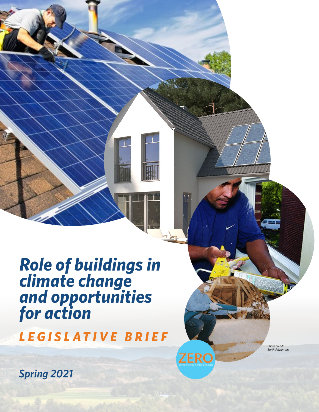# *Role of buildings in climate change and opportunities for action*

*LEGISLATIVE BRIEF*

*Photo credit: Earth Advantage*

**ZERO** 

*Spring 2021*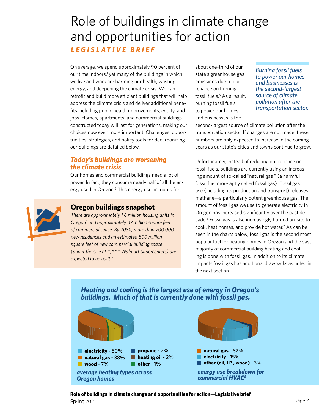## Role of buildings in climate change and opportunities for action *LEGISLATIVE BRIEF*

On average, we spend approximately 90 percent of our time indoors,<sup>1</sup> yet many of the buildings in which we live and work are harming our health, wasting energy, and deepening the climate crisis. We can retrofit and build more efficient buildings that will help address the climate crisis and deliver additional benefits including public health improvements, equity, and jobs. Homes, apartments, and commercial buildings constructed today will last for generations, making our choices now even more important. Challenges, opportunities, strategies, and policy tools for decarbonizing our buildings are detailed below.

### *Today's buildings are worsening the climate crisis*

Our homes and commercial buildings need a lot of power. In fact, they consume nearly half of all the energy used in Oregon.<sup>2</sup> This energy use accounts for

#### **Oregon buildings snapshot**

*There are approximately 1.6 million housing units in Oregon3 and approximately 3.4 billion square feet of commercial space. By 2050, more than 700,000 new residences and an estimated 800 million square feet of new commercial building space (about the size of 4,444 Walmart Supercenters) are expected to be built.4*

about one-third of our state's greenhouse gas emissions due to our reliance on burning fossil fuels.<sup>5</sup> As a result, burning fossil fuels to power our homes and businesses is the

*Burning fossil fuels to power our homes and businesses is the second-largest source of climate pollution after the transportation sector.*

second-largest source of climate pollution after the transportation sector. If changes are not made, these numbers are only expected to increase in the coming years as our state's cities and towns continue to grow.

Unfortunately, instead of reducing our reliance on fossil fuels, buildings are currently using an increasing amount of so-called "natural gas " (a harmful fossil fuel more aptly called fossil gas). Fossil gas use (including its production and transport) releases methane—a particularly potent greenhouse gas. The amount of fossil gas we use to generate electricity in Oregon has increased significantly over the past decade.<sup>6</sup> Fossil gas is also increasingly burned on-site to cook, heat homes, and provide hot water.<sup>7</sup> As can be seen in the charts below, fossil gas is the second most popular fuel for heating homes in Oregon and the vast majority of commercial building heating and cooling is done with fossil gas. In addition to its climate impacts,fossil gas has additional drawbacks as noted in the next section.

**natural gas** - 82% **electricity** - 50% П **propane** - 2% **natural gas** - 38% **heating oil - 2% electricity** - 15% **other (oil, LP , wood)** - 3% **Notify 18 and 18 active 19 active 19 active 19 active 19 active 19 active 19 active 19 active 19 active 19 active 19 active 19 active 19 active 19 active 19 active 19 active 19 active 19 active 19 active 19 active 19 acti** *energy use breakdown for average heating types across commercial HVAC8 Oregon homes* 

#### *Heating and cooling is the largest use of energy in Oregon's buildings. Much of that is currently done with fossil gas.*

**Role of buildings in climate change and opportunities for action—Legislative brief** Spring 2021 **page 2**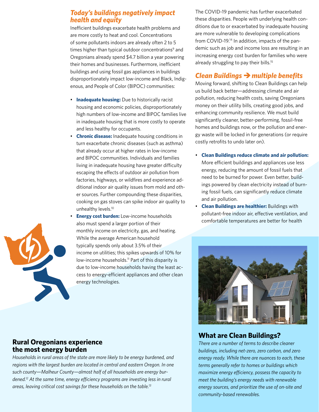#### *Today's buildings negatively impact health and equity*

Inefficient buildings exacerbate health problems and are more costly to heat and cool. Concentrations of some pollutants indoors are already often 2 to 5 times higher than typical outdoor concentrations<sup>9</sup> and Oregonians already spend \$4.7 billion a year powering their homes and businesses. Furthermore, inefficient buildings and using fossil gas appliances in buildings disproportionately impact low-income and Black, Indigenous, and People of Color (BIPOC) communities:

- **Inadequate housing:** Due to historically racist housing and economic policies, disproportionately high numbers of low-income and BIPOC families live in inadequate housing that is more costly to operate and less healthy for occupants.
- **Chronic disease:** Inadequate housing conditions in turn exacerbate chronic diseases (such as asthma) that already occur at higher rates in low-income and BIPOC communities. Individuals and families living in inadequate housing have greater difficulty escaping the effects of outdoor air pollution from factories, highways, or wildfires and experience additional indoor air quality issues from mold and other sources. Further compounding these disparities, cooking on gas stoves can spike indoor air quality to unhealthy levels.<sup>10</sup>
- **Energy cost burden:** Low-income households also must spend a larger portion of their monthly income on electricity, gas, and heating. While the average American household typically spends only about 3.5% of their income on utilities; this spikes upwards of 10% for low-income households.<sup>11</sup> Part of this disparity is due to low-income households having the least access to energy-efficient appliances and other clean energy technologies.

The COVID-19 pandemic has further exacerbated these disparities. People with underlying health conditions due to or exacerbated by inadequate housing are more vulnerable to developing complications from COVID-19.14 In addition, impacts of the pandemic such as job and income loss are resulting in an increasing energy cost burden for families who were already struggling to pay their bills.<sup>15</sup>

## *Clean Buildings multiple benefits*

Moving forward, shifting to Clean Buildings can help us build back better—addressing climate and air pollution, reducing health costs, saving Oregonians money on their utility bills, creating good jobs, and enhancing community resilience. We must build significantly cleaner, better-performing, fossil-free homes and buildings now, or the pollution and energy waste will be locked in for generations (or require costly retrofits to undo later on).

- **Clean Buildings reduce climate and air pollution:** More efficient buildings and appliances use less energy, reducing the amount of fossil fuels that need to be burned for power. Even better, buildings powered by clean electricity instead of burning fossil fuels, can significantly reduce climate and air pollution.
- **Clean Buildings are healthier:** Buildings with pollutant-free indoor air, effective ventilation, and comfortable temperatures are better for health



### **What are Clean Buildings?**

**Role of the buildings in climate and opportunity-based renewables.** *There are a number of terms to describe cleaner buildings, including net-zero, zero carbon, and zero energy ready. While there are nuances to each, these terms generally refer to homes or buildings which maximize energy efficiency, possess the capacity to meet the building's energy needs with renewable energy sources, and prioritize the use of on-site and* 



#### **Rural Oregonians experience the most energy burden**

*Households in rural areas of the state are more likely to be energy burdened, and regions with the largest burden are located in central and eastern Oregon. In one such county—Malheur County—almost half of all households are energy burdened.12 At the same time, energy efficiency programs are investing less in rural areas, leaving critical cost savings for these households on the table.13*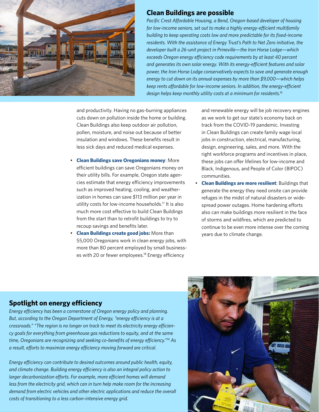

#### **Clean Buildings are possible**

*Pacific Crest Affordable Housing, a Bend, Oregon-based developer of housing for low-income seniors, set out to make a highly energy-efficient multifamily building to keep operating costs low and more predictable for its fixed-income residents. With the assistance of Energy Trust's Path to Net Zero initiative, the developer built a 26-unit project in Prineville—the Iron Horse Lodge—which exceeds Oregon energy efficiency code requirements by at least 40 percent and generates its own solar energy. With its energy-efficient features and solar power, the Iron Horse Lodge conservatively expects to save and generate enough energy to cut down on its annual expenses by more than \$9,000—which helps keep rents affordable for low-income seniors. In addition, the energy-efficient design helps keep monthly utility costs at a minimum for residents.16*

and productivity. Having no gas-burning appliances cuts down on pollution inside the home or building. Clean Buildings also keep outdoor air pollution, pollen, moisture, and noise out because of better insulation and windows. These benefits result in less sick days and reduced medical expenses.

- **Clean Buildings save Oregonians money**: More efficient buildings can save Oregonians money on their utility bills. For example, Oregon state agencies estimate that energy efficiency improvements such as improved heating, cooling, and weatherization in homes can save \$113 million per year in utility costs for low-income households.17 It is also much more cost effective to build Clean Buildings from the start than to retrofit buildings to try to recoup savings and benefits later.
- **Clean Buildings create good jobs:** More than 55,000 Oregonians work in clean energy jobs, with more than 80 percent employed by small businesses with 20 or fewer employees.<sup>18</sup> Energy efficiency

and renewable energy will be job recovery engines as we work to get our state's economy back on track from the COVID-19 pandemic. Investing in Clean Buildings can create family wage local jobs in construction, electrical, manufacturing, design, engineering, sales, and more. With the right workforce programs and incentives in place, these jobs can offer lifelines for low-income and Black, Indigenous, and People of Color (BIPOC) communities.

• **Clean Buildings are more resilient**: Buildings that generate the energy they need onsite can provide refuges in the midst of natural disasters or widespread power outages. Home hardening efforts also can make buildings more resilient in the face of storms and wildfires, which are predicted to continue to be even more intense over the coming years due to climate change.

## **Spotlight on energy efficiency**

*Energy efficiency has been a cornerstone of Oregon energy policy and planning. But, according to the Oregon Department of Energy, "energy efficiency is at a crossroads." "The region is no longer on track to meet its electricity energy efficiency goals for everything from greenhouse gas reductions to equity, and at the same time, Oregonians are recognizing and seeking co-benefits of energy efficiency."19 As a result, efforts to maximize energy efficiency moving forward are critical.* 

demand from electric vehicles and other electric applications and reduce the overall **and the second of the second** *Energy efficiency can contribute to desired outcomes around public health, equity, and climate change. Building energy efficiency is also an integral policy action to larger decarbonization efforts. For example, more efficient homes will demand less from the electricity grid, which can in turn help make room for the increasing* 

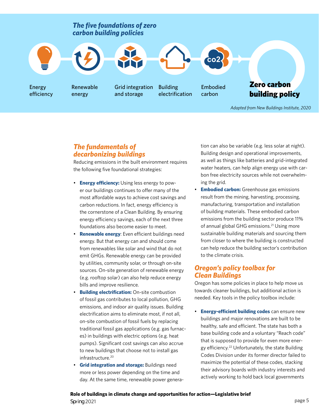

*Adapted from New Buildings Institute, 2020*

### *The fundamentals of decarbonizing buildings*

Reducing emissions in the built environment requires the following five foundational strategies:

- **Energy efficiency:** Using less energy to power our buildings continues to offer many of the most affordable ways to achieve cost savings and carbon reductions. In fact, energy efficiency is the cornerstone of a Clean Building. By ensuring energy efficiency savings, each of the next three foundations also become easier to meet.
- **Renewable energy**: Even efficient buildings need energy. But that energy can and should come from renewables like solar and wind that do not emit GHGs. Renewable energy can be provided by utilities, community solar, or through on-site sources. On-site generation of renewable energy (e.g. rooftop solar) can also help reduce energy bills and improve resilience.
- **Building electrification:** On-site combustion of fossil gas contributes to local pollution, GHG emissions, and indoor air quality issues. Building electrification aims to eliminate most, if not all, on-site combustion of fossil fuels by replacing traditional fossil gas applications (e.g. gas furnaces) in buildings with electric options (e.g. heat pumps). Significant cost savings can also accrue to new buildings that choose not to install gas infrastructure.20
- **Grid integration and storage:** Buildings need more or less power depending on the time and day. At the same time, renewable power genera-

tion can also be variable (e.g. less solar at night). Building design and operational improvements, as well as things like batteries and grid-integrated water heaters, can help align energy use with carbon free electricity sources while not overwhelming the grid.

**Embodied carbon:** Greenhouse gas emissions result from the mining, harvesting, processing, manufacturing, transportation and installation of building materials. These embodied carbon emissions from the building sector produce 11% of annual global GHG emissions.<sup>21</sup> Using more sustainable building materials and sourcing them from closer to where the building is constructed can help reduce the building sector's contribution to the climate crisis.

### *Oregon's policy toolbox for Clean Buildings*

Oregon has some policies in place to help move us towards cleaner buildings, but additional action is needed. Key tools in the policy toolbox include:

• **Energy-efficient building codes** can ensure new buildings and major renovations are built to be healthy, safe and efficient. The state has both a base building code and a voluntary "Reach code" that is supposed to provide for even more energy efficiency.22 Unfortunately, the state Building Codes Division under its former director failed to maximize the potential of these codes, stacking their advisory boards with industry interests and actively working to hold back local governments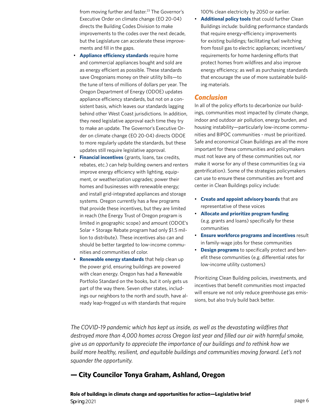from moving further and faster.<sup>23</sup> The Governor's Executive Order on climate change (EO 20-04) directs the Building Codes Division to make improvements to the codes over the next decade, but the Legislature can accelerate these improvements and fill in the gaps.

- **Appliance efficiency standards** require home and commercial appliances bought and sold are as energy efficient as possible. These standards save Oregonians money on their utility bills—to the tune of tens of millions of dollars per year. The Oregon Department of Energy (ODOE) updates appliance efficiency standards, but not on a consistent basis, which leaves our standards lagging behind other West Coast jurisdictions. In addition, they need legislative approval each time they try to make an update. The Governor's Executive Order on climate change (EO 20-04) directs ODOE to more regularly update the standards, but these updates still require legislative approval.
- **Financial incentives** (grants, loans, tax credits, rebates, etc.) can help building owners and renters improve energy efficiency with lighting, equipment, or weatherization upgrades; power their homes and businesses with renewable energy; and install grid-integrated appliances and storage systems. Oregon currently has a few programs that provide these incentives, but they are limited in reach (the Energy Trust of Oregon program is limited in geographic scope) and amount (ODOE's Solar + Storage Rebate program had only \$1.5 million to distribute). These incentives also can and should be better targeted to low-income communities and communities of color.
- **Renewable energy standards** that help clean up the power grid, ensuring buildings are powered with clean energy. Oregon has had a Renewable Portfolio Standard on the books, but it only gets us part of the way there. Seven other states, includings our neighbors to the north and south, have already leap-frogged us with standards that require

100% clean electricity by 2050 or earlier.

• **Additional policy tools** that could further Clean Buildings include: building performance standards that require energy-efficiency improvements for existing buildings; facilitating fuel switching from fossil gas to electric appliances; incentives/ requirements for home hardening efforts that protect homes from wildfires and also improve energy efficiency; as well as purchasing standards that encourage the use of more sustainable building materials.

#### *Conclusion*

In all of the policy efforts to decarbonize our buildings, communities most impacted by climate change, indoor and outdoor air pollution, energy burden, and housing instability—particularly low-income communities and BIPOC communities - must be prioritized. Safe and economical Clean Buildings are all the more important for these communities and policymakers must not leave any of these communities out, nor make it worse for any of these communities (e.g via gentrification). Some of the strategies policymakers can use to ensure these communities are front and center in Clean Buildings policy include:

- **Create and appoint advisory boards** that are representative of these voices
- **Allocate and prioritize program funding** (e.g. grants and loans) specifically for these communities
- **Ensure workforce programs and incentives** result in family-wage jobs for these communities
- **Design programs** to specifically protect and benefit these communities (e.g. differential rates for low-income utility customers)

Prioritizing Clean Building policies, investments, and incentives that benefit communities most impacted will ensure we not only reduce greenhouse gas emissions, but also truly build back better.

*The COVID-19 pandemic which has kept us inside, as well as the devastating wildfires that destroyed more than 4,000 homes across Oregon last year and filled our air with harmful smoke, give us an opportunity to appreciate the importance of our buildings and to rethink how we build more healthy, resilient, and equitable buildings and communities moving forward. Let's not squander the opportunity.* 

#### **— City Councilor Tonya Graham, Ashland, Oregon**

**Role of buildings in climate change and opportunities for action—Legislative brief** Spring 2021 **page 6**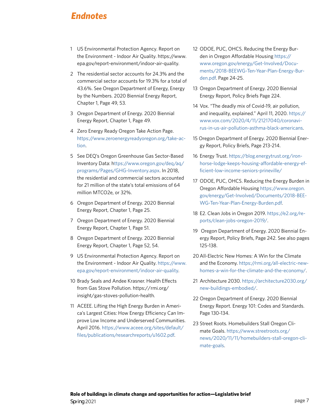## *Endnotes*

- 1 US Environmental Protection Agency. Report on the Environment - Indoor Air Quality. [https://www.](https://www.epa.gov/report-environment/indoor-air-quality) [epa.gov/report-environment/indoor-air-quality](https://www.epa.gov/report-environment/indoor-air-quality).
- 2 The residential sector accounts for 24.3% and the commercial sector accounts for 19.3% for a total of 43.6%. See Oregon Department of Energy, Energy by the Numbers. 2020 Biennial Energy Report, Chapter 1, Page 49, 53.
- 3 Oregon Department of Energy. 2020 Biennial Energy Report, Chapter 1, Page 49.
- 4 Zero Energy Ready Oregon Take Action Page. [https://www.zeroenergyreadyoregon.org/take-ac](https://www.zeroenergyreadyoregon.org/take-action)[tion](https://www.zeroenergyreadyoregon.org/take-action).
- 5 See DEQ's Oregon Greenhouse Gas Sector-Based Inventory Data: [https://www.oregon.gov/deq/aq/](https://www.oregon.gov/deq/aq/programs/Pages/GHG-Inventory.aspx) [programs/Pages/GHG-Inventory.aspx.](https://www.oregon.gov/deq/aq/programs/Pages/GHG-Inventory.aspx) In 2018, the residential and commercial sectors accounted for 21 million of the state's total emissions of 64 million MTCO2e, or 32%.
- 6 Oregon Department of Energy. 2020 Biennial Energy Report, Chapter 1, Page 25.
- 7 Oregon Department of Energy. 2020 Biennial Energy Report, Chapter 1, Page 51.
- 8 Oregon Department of Energy. 2020 Biennial Energy Report, Chapter 1, Page 52, 54.
- 9 US Environmental Protection Agency. Report on the Environment - Indoor Air Quality. [https://www.](https://www.epa.gov/report-environment/indoor-air-quality) [epa.gov/report-environment/indoor-air-quality](https://www.epa.gov/report-environment/indoor-air-quality).
- 10 Brady Seals and Andee Krasner. Health Effects from Gas Stove Pollution. https://rmi.org/ [insight/gas-stoves-pollution-health.](https://rmi.org/insight/gas-stoves-pollution-health/)
- 11 ACEEE. Lifting the High Energy Burden in America's Largest Cities: How Energy Efficiency Can Improve Low Income and Underserved Communities. April 2016. [https://www.aceee.org/sites/default/](https://www.aceee.org/sites/default/files/publications/researchreports/u1602.pdf) [files/publications/researchreports/u1602.pdf.](https://www.aceee.org/sites/default/files/publications/researchreports/u1602.pdf)
- 12 ODOE, PUC, OHCS. Reducing the Energy Burden in Oregon Affordable Housing [https://](https://www.oregon.gov/energy/Get-Involved/Documents/2018-BEEWG-Ten-Year-Plan-Energy-Burden.pdf) [www.oregon.gov/energy/Get-Involved/Docu](https://www.oregon.gov/energy/Get-Involved/Documents/2018-BEEWG-Ten-Year-Plan-Energy-Burden.pdf)[ments/2018-BEEWG-Ten-Year-Plan-Energy-Bur](https://www.oregon.gov/energy/Get-Involved/Documents/2018-BEEWG-Ten-Year-Plan-Energy-Burden.pdf)[den.pdf](https://www.oregon.gov/energy/Get-Involved/Documents/2018-BEEWG-Ten-Year-Plan-Energy-Burden.pdf). Page 24-25.
- 13 Oregon Department of Energy. 2020 Biennial Energy Report, Policy Briefs Page 224.
- 14 Vox. "The deadly mix of Covid-19, air pollution, and inequality, explained." April 11, 2020. [https://](https://www.vox.com/2020/4/11/21217040/coronavirus-in-us-air-pollution-asthma-black-americans) [www.vox.com/2020/4/11/21217040/coronavi](https://www.vox.com/2020/4/11/21217040/coronavirus-in-us-air-pollution-asthma-black-americans)[rus-in-us-air-pollution-asthma-black-americans.](https://www.vox.com/2020/4/11/21217040/coronavirus-in-us-air-pollution-asthma-black-americans)
- 15 Oregon Department of Energy. 2020 Biennial Energy Report, Policy Briefs, Page 213-214.
- 16 Energy Trust. [https://blog.energytrust.org/iron](https://blog.energytrust.org/iron-horse-lodge-keeps-housing-affordable-energy-efficient-low-income-s)[horse-lodge-keeps-housing-affordable-energy-ef](https://blog.energytrust.org/iron-horse-lodge-keeps-housing-affordable-energy-efficient-low-income-s)[ficient-low-income-seniors-prineville/](https://blog.energytrust.org/iron-horse-lodge-keeps-housing-affordable-energy-efficient-low-income-s)
- 17 ODOE, PUC, OHCS. Reducing the Energy Burden in Oregon Affordable Housing [https://www.oregon.](https://www.oregon.gov/energy/Get-Involved/Documents/2018-BEEWG-Ten-Year-Plan-Energy-Burden.pdf) [gov/energy/Get-Involved/Documents/2018-BEE-](https://www.oregon.gov/energy/Get-Involved/Documents/2018-BEEWG-Ten-Year-Plan-Energy-Burden.pdf)[WG-Ten-Year-Plan-Energy-Burden.pdf](https://www.oregon.gov/energy/Get-Involved/Documents/2018-BEEWG-Ten-Year-Plan-Energy-Burden.pdf).
- 18 E2. Clean Jobs in Oregon 2019. [https://e2.org/re](https://e2.org/reports/clean-jobs-oregon-2019/)[ports/clean-jobs-oregon-2019/](https://e2.org/reports/clean-jobs-oregon-2019/).
- 19 Oregon Department of Energy. 2020 Biennial Energy Report, Policy Briefs, Page 242. See also pages 125-138.
- 20All-Electric New Homes: A Win for the Climate and the Economy. [https://rmi.org/all-electric-new](https://rmi.org/all-electric-new-homes-a-win-for-the-climate-and-the-economy)[homes-a-win-for-the-climate-and-the-economy/](https://rmi.org/all-electric-new-homes-a-win-for-the-climate-and-the-economy).
- 21 Architecture 2030. [https://architecture2030.org/](https://architecture2030.org/new-buildings-embodied/) [new-buildings-embodied/](https://architecture2030.org/new-buildings-embodied/).
- 22 Oregon Department of Energy. 2020 Biennial Energy Report. Energy 101: Codes and Standards. Page 130-134.
- 23 Street Roots. Homebuilders Stall Oregon Climate Goals. [https://www.streetroots.org/](https://www.streetroots.org/news/2020/11/11/homebuilders-stall-oregon-climate-goals ) [news/2020/11/11/homebuilders-stall-oregon-cli](https://www.streetroots.org/news/2020/11/11/homebuilders-stall-oregon-climate-goals )[mate-goals.](https://www.streetroots.org/news/2020/11/11/homebuilders-stall-oregon-climate-goals )